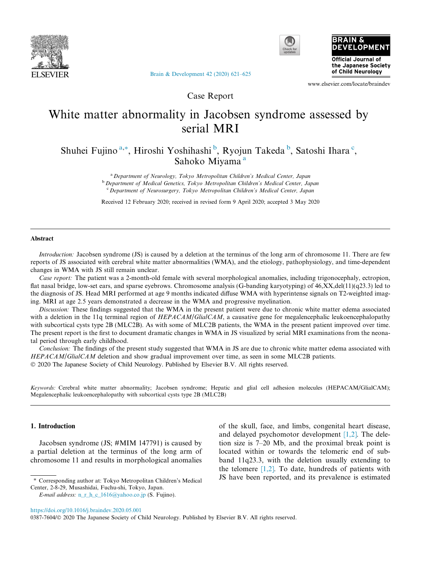





[Brain & Development 42 \(2020\) 621–625](https://doi.org/10.1016/j.braindev.2020.05.001)

www.elsevier.com/locate/braindev

Case Report

# White matter abnormality in Jacobsen syndrome assessed by serial MRI

Shuhei Fujino<sup>a,\*</sup>, Hiroshi Yoshihashi <sup>b</sup>, Ryojun Takeda <sup>b</sup>, Satoshi Ihara <sup>c</sup>, Sahoko Miyama<sup>a</sup>

> <sup>a</sup> Department of Neurology, Tokyo Metropolitan Children's Medical Center, Japan **b** Department of Medical Genetics, Tokyo Metropolitan Children's Medical Center, Japan <sup>c</sup> Department of Neurosurgery, Tokyo Metropolitan Children's Medical Center, Japan

> Received 12 February 2020; received in revised form 9 April 2020; accepted 3 May 2020

### Abstract

Introduction: Jacobsen syndrome (JS) is caused by a deletion at the terminus of the long arm of chromosome 11. There are few reports of JS associated with cerebral white matter abnormalities (WMA), and the etiology, pathophysiology, and time-dependent changes in WMA with JS still remain unclear.

Case report: The patient was a 2-month-old female with several morphological anomalies, including trigonocephaly, ectropion, flat nasal bridge, low-set ears, and sparse eyebrows. Chromosome analysis (G-banding karyotyping) of 46,XX,del(11)(q23.3) led to the diagnosis of JS. Head MRI performed at age 9 months indicated diffuse WMA with hyperintense signals on T2-weighted imaging. MRI at age 2.5 years demonstrated a decrease in the WMA and progressive myelination.

Discussion: These findings suggested that the WMA in the present patient were due to chronic white matter edema associated with a deletion in the 11q terminal region of HEPACAM/GlialCAM, a causative gene for megalencephalic leukoencephalopathy with subcortical cysts type 2B (MLC2B). As with some of MLC2B patients, the WMA in the present patient improved over time. The present report is the first to document dramatic changes in WMA in JS visualized by serial MRI examinations from the neonatal period through early childhood.

Conclusion: The findings of the present study suggested that WMA in JS are due to chronic white matter edema associated with HEPACAM/GlialCAM deletion and show gradual improvement over time, as seen in some MLC2B patients. 2020 The Japanese Society of Child Neurology. Published by Elsevier B.V. All rights reserved.

Keywords: Cerebral white matter abnormality; Jacobsen syndrome; Hepatic and glial cell adhesion molecules (HEPACAM/GlialCAM); Megalencephalic leukoencephalopathy with subcortical cysts type 2B (MLC2B)

## 1. Introduction

Jacobsen syndrome (JS; #MIM 147791) is caused by a partial deletion at the terminus of the long arm of chromosome 11 and results in morphological anomalies

of the skull, face, and limbs, congenital heart disease, and delayed psychomotor development  $[1,2]$ . The deletion size is 7–20 Mb, and the proximal break point is located within or towards the telomeric end of subband 11q23.3, with the deletion usually extending to the telomere  $[1,2]$ . To date, hundreds of patients with JS have been reported, and its prevalence is estimated

<sup>⇑</sup> Corresponding author at: Tokyo Metropolitan Children's Medical Center, 2-8-29, Musashidai, Fuchu-shi, Tokyo, Japan.

E-mail address:  $n_r$   $h_c$  1616@yahoo.co.jp (S. Fujino).

<https://doi.org/10.1016/j.braindev.2020.05.001>

<sup>0387-7604/© 2020</sup> The Japanese Society of Child Neurology. Published by Elsevier B.V. All rights reserved.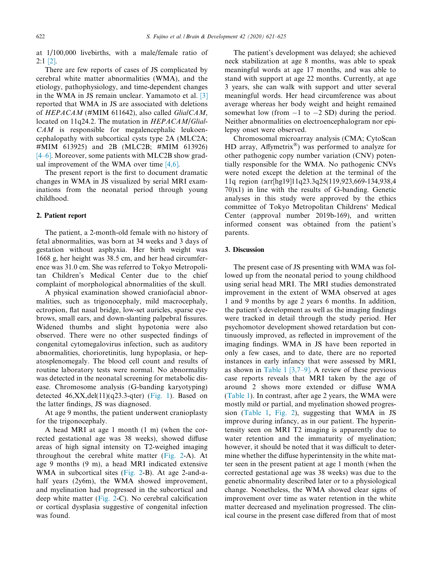at 1/100,000 livebirths, with a male/female ratio of 2:1 [\[2\]](#page-4-0).

There are few reports of cases of JS complicated by cerebral white matter abnormalities (WMA), and the etiology, pathophysiology, and time-dependent changes in the WMA in JS remain unclear. Yamamoto et al. [\[3\]](#page-4-0) reported that WMA in JS are associated with deletions of HEPACAM (#MIM 611642), also called GlialCAM, located on 11q24.2. The mutation in HEPACAM/Glial- $CAM$  is responsible for megalencephalic leukoencephalopathy with subcortical cysts type 2A (MLC2A; #MIM 613925) and 2B (MLC2B; #MIM 613926) [\[4–6\]](#page-4-0). Moreover, some patients with MLC2B show gradual improvement of the WMA over time [\[4,6\].](#page-4-0)

The present report is the first to document dramatic changes in WMA in JS visualized by serial MRI examinations from the neonatal period through young childhood.

#### 2. Patient report

The patient, a 2-month-old female with no history of fetal abnormalities, was born at 34 weeks and 3 days of gestation without asphyxia. Her birth weight was 1668 g, her height was 38.5 cm, and her head circumference was 31.0 cm. She was referred to Tokyo Metropolitan Children's Medical Center due to the chief complaint of morphological abnormalities of the skull.

A physical examination showed craniofacial abnormalities, such as trigonocephaly, mild macrocephaly, ectropion, flat nasal bridge, low-set auricles, sparse eyebrows, small ears, and down-slanting palpebral fissures. Widened thumbs and slight hypotonia were also observed. There were no other suspected findings of congenital cytomegalovirus infection, such as auditory abnormalities, chorioretinitis, lung hypoplasia, or hepatosplenomegaly. The blood cell count and results of routine laboratory tests were normal. No abnormality was detected in the neonatal screening for metabolic disease. Chromosome analysis (G-banding karyotyping) detected  $46, XX, del(11)(q23.3-qter)$  ([Fig. 1\)](#page-2-0). Based on the latter findings, JS was diagnosed.

At age 9 months, the patient underwent cranioplasty for the trigonocephaly.

A head MRI at age 1 month (1 m) (when the corrected gestational age was 38 weeks), showed diffuse areas of high signal intensity on T2-weighed imaging throughout the cerebral white matter ([Fig. 2](#page-3-0)-A). At age 9 months (9 m), a head MRI indicated extensive WMA in subcortical sites [\(Fig. 2-](#page-3-0)B). At age 2-and-ahalf years (2y6m), the WMA showed improvement, and myelination had progressed in the subcortical and deep white matter ([Fig. 2-](#page-3-0)C). No cerebral calcification or cortical dysplasia suggestive of congenital infection was found.

The patient's development was delayed; she achieved neck stabilization at age 8 months, was able to speak meaningful words at age 17 months, and was able to stand with support at age 22 months. Currently, at age 3 years, she can walk with support and utter several meaningful words. Her head circumference was about average whereas her body weight and height remained somewhat low (from  $-1$  to  $-2$  SD) during the period. Neither abnormalities on electroencephalogram nor epilepsy onset were observed.

Chromosomal microarray analysis (CMA; CytoScan HD array, Affymetrix<sup>®</sup>) was performed to analyze for other pathogenic copy number variation (CNV) potentially responsible for the WMA. No pathogenic CNVs were noted except the deletion at the terminal of the 11q region (arr[hg19]11q23.3q25(119,923,669-134,938,4 70)x1) in line with the results of G-banding. Genetic analyses in this study were approved by the ethics committee of Tokyo Metropolitan Childrens' Medical Center (approval number 2019b-169), and written informed consent was obtained from the patient's parents.

## 3. Discussion

The present case of JS presenting with WMA was followed up from the neonatal period to young childhood using serial head MRI. The MRI studies demonstrated improvement in the extent of WMA observed at ages 1 and 9 months by age 2 years 6 months. In addition, the patient's development as well as the imaging findings were tracked in detail through the study period. Her psychomotor development showed retardation but continuously improved, as reflected in improvement of the imaging findings. WMA in JS have been reported in only a few cases, and to date, there are no reported instances in early infancy that were assessed by MRI, as shown in [Table 1](#page-3-0)  $[3,7-9]$ . A review of these previous case reports reveals that MRI taken by the age of around 2 shows more extended or diffuse WMA ([Table 1](#page-3-0)). In contrast, after age 2 years, the WMA were mostly mild or partial, and myelination showed progression [\(Table 1](#page-3-0), [Fig. 2](#page-3-0)), suggesting that WMA in JS improve during infancy, as in our patient. The hyperintensity seen on MRI T2 imaging is apparently due to water retention and the immaturity of myelination; however, it should be noted that it was difficult to determine whether the diffuse hyperintensity in the white matter seen in the present patient at age 1 month (when the corrected gestational age was 38 weeks) was due to the genetic abnormality described later or to a physiological change. Nonetheless, the WMA showed clear signs of improvement over time as water retention in the white matter decreased and myelination progressed. The clinical course in the present case differed from that of most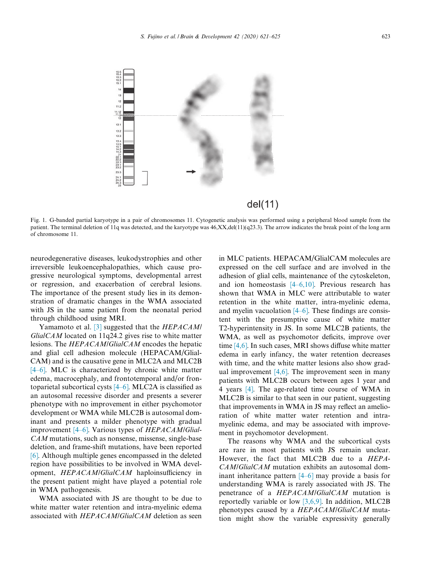<span id="page-2-0"></span>

Fig. 1. G-banded partial karyotype in a pair of chromosomes 11. Cytogenetic analysis was performed using a peripheral blood sample from the patient. The terminal deletion of 11q was detected, and the karyotype was  $46, XX, del(11)(q23.3)$ . The arrow indicates the break point of the long arm of chromosome 11.

neurodegenerative diseases, leukodystrophies and other irreversible leukoencephalopathies, which cause progressive neurological symptoms, developmental arrest or regression, and exacerbation of cerebral lesions. The importance of the present study lies in its demonstration of dramatic changes in the WMA associated with JS in the same patient from the neonatal period through childhood using MRI.

Yamamoto et al. [\[3\]](#page-4-0) suggested that the *HEPACAM*  $GlialCAM$  located on 11q24.2 gives rise to white matter lesions. The HEPACAM/GlialCAM encodes the hepatic and glial cell adhesion molecule (HEPACAM/Glial-CAM) and is the causative gene in MLC2A and MLC2B [\[4–6\].](#page-4-0) MLC is characterized by chronic white matter edema, macrocephaly, and frontotemporal and/or frontoparietal subcortical cysts [\[4–6\].](#page-4-0) MLC2A is classified as an autosomal recessive disorder and presents a severer phenotype with no improvement in either psychomotor development or WMA while MLC2B is autosomal dominant and presents a milder phenotype with gradual improvement [\[4–6\].](#page-4-0) Various types of HEPACAM/Glial-CAM mutations, such as nonsense, missense, single-base deletion, and frame-shift mutations, have been reported [\[6\].](#page-4-0) Although multiple genes encompassed in the deleted region have possibilities to be involved in WMA development, HEPACAM/GlialCAM haploinsufficiency in the present patient might have played a potential role in WMA pathogenesis.

WMA associated with JS are thought to be due to white matter water retention and intra-myelinic edema associated with HEPACAM/GlialCAM deletion as seen in MLC patients. HEPACAM/GlialCAM molecules are expressed on the cell surface and are involved in the adhesion of glial cells, maintenance of the cytoskeleton, and ion homeostasis [\[4–6,10\].](#page-4-0) Previous research has shown that WMA in MLC were attributable to water retention in the white matter, intra-myelinic edema, and myelin vacuolation  $[4–6]$ . These findings are consistent with the presumptive cause of white matter T2-hyperintensity in JS. In some MLC2B patients, the WMA, as well as psychomotor deficits, improve over time [\[4,6\].](#page-4-0) In such cases, MRI shows diffuse white matter edema in early infancy, the water retention decreases with time, and the white matter lesions also show gradual improvement  $[4,6]$ . The improvement seen in many patients with MLC2B occurs between ages 1 year and 4 years [\[4\].](#page-4-0) The age-related time course of WMA in MLC2B is similar to that seen in our patient, suggesting that improvements in WMA in JS may reflect an amelioration of white matter water retention and intramyelinic edema, and may be associated with improvement in psychomotor development.

The reasons why WMA and the subcortical cysts are rare in most patients with JS remain unclear. However, the fact that MLC2B due to a HEPA-CAM/GlialCAM mutation exhibits an autosomal dominant inheritance pattern [\[4–6\]](#page-4-0) may provide a basis for understanding WMA is rarely associated with JS. The penetrance of a HEPACAM/GlialCAM mutation is reportedly variable or low  $[3,6,9]$ . In addition, MLC2B phenotypes caused by a *HEPACAM/GlialCAM* mutation might show the variable expressivity generally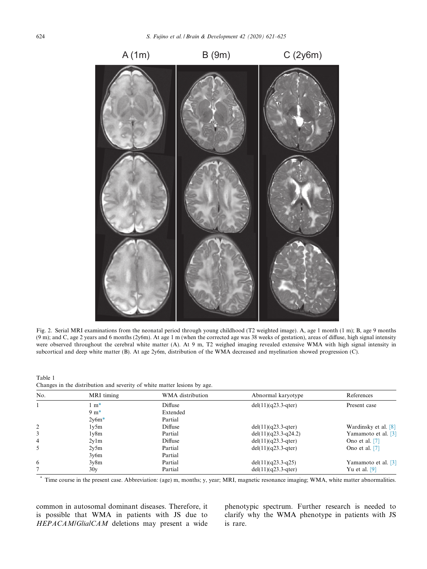<span id="page-3-0"></span>

Fig. 2. Serial MRI examinations from the neonatal period through young childhood (T2 weighted image). A, age 1 month (1 m); B, age 9 months (9 m); and C, age 2 years and 6 months (2y6m). At age 1 m (when the corrected age was 38 weeks of gestation), areas of diffuse, high signal intensity were observed throughout the cerebral white matter (A). At 9 m, T2 weighed imaging revealed extensive WMA with high signal intensity in subcortical and deep white matter (B). At age 2y6m, distribution of the WMA decreased and myelination showed progression (C).

| Table 1 |                                                                          |  |  |  |  |
|---------|--------------------------------------------------------------------------|--|--|--|--|
|         | Changes in the distribution and severity of white matter lesions by age. |  |  |  |  |

| No.            | MRI timing             | WMA distribution | Abnormal karyotype    | References           |
|----------------|------------------------|------------------|-----------------------|----------------------|
|                | $\cdot$ m <sup>*</sup> | Diffuse          | $del(11)(q23.3-qter)$ | Present case         |
|                | $9 \text{ m}^*$        | Extended         |                       |                      |
|                | $2y6m*$                | Partial          |                       |                      |
| 2              | 1v5m                   | Diffuse          | $del(11)(q23.3-qter)$ | Wardinsky et al. [8] |
| 3              | 1v8m                   | Partial          | del(11)(q23.3-q24.2)  | Yamamoto et al. [3]  |
| $\overline{4}$ | 2v1m                   | Diffuse          | $del(11)(q23.3-qter)$ | Ono et al. [7]       |
| 5              | 2v5m                   | Partial          | $del(11)(q23.3-qter)$ | Ono et al. [7]       |
|                | 3v6m                   | Partial          |                       |                      |
| 6              | 3v8m                   | Partial          | del $(11)(q23.3-q25)$ | Yamamoto et al. [3]  |
|                | 30 <sub>V</sub>        | Partial          | $del(11)(q23.3-qter)$ | Yu et al. $[9]$      |

\* Time course in the present case. Abbreviation: (age) m, months; y, year; MRI, magnetic resonance imaging; WMA, white matter abnormalities.

common in autosomal dominant diseases. Therefore, it is possible that WMA in patients with JS due to HEPACAM/GlialCAM deletions may present a wide phenotypic spectrum. Further research is needed to clarify why the WMA phenotype in patients with JS is rare.